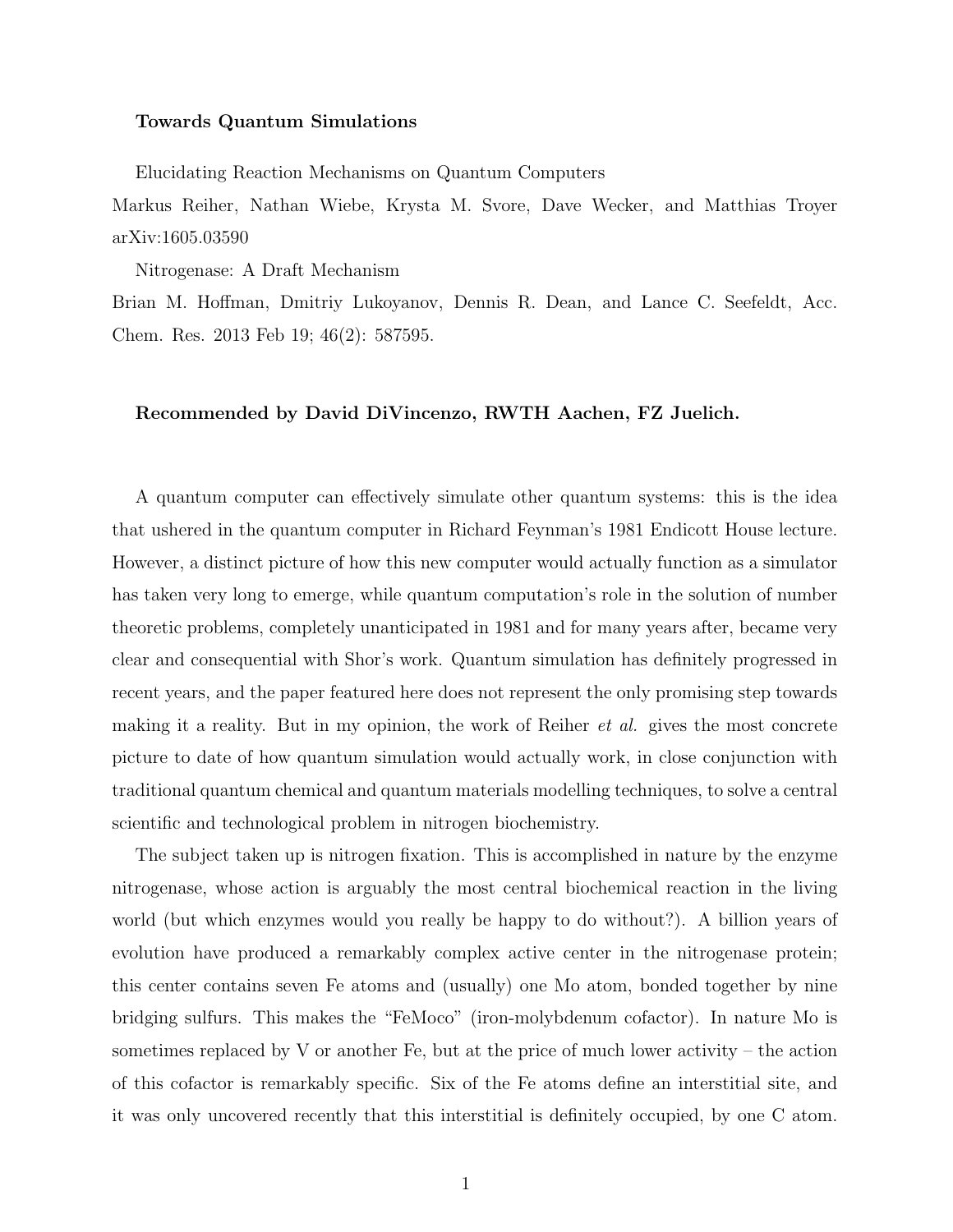## Towards Quantum Simulations

Elucidating Reaction Mechanisms on Quantum Computers

Markus Reiher, Nathan Wiebe, Krysta M. Svore, Dave Wecker, and Matthias Troyer arXiv:1605.03590

Nitrogenase: A Draft Mechanism

Brian M. Hoffman, Dmitriy Lukoyanov, Dennis R. Dean, and Lance C. Seefeldt, Acc. Chem. Res. 2013 Feb 19; 46(2): 587595.

## Recommended by David DiVincenzo, RWTH Aachen, FZ Juelich.

A quantum computer can effectively simulate other quantum systems: this is the idea that ushered in the quantum computer in Richard Feynman's 1981 Endicott House lecture. However, a distinct picture of how this new computer would actually function as a simulator has taken very long to emerge, while quantum computation's role in the solution of number theoretic problems, completely unanticipated in 1981 and for many years after, became very clear and consequential with Shor's work. Quantum simulation has definitely progressed in recent years, and the paper featured here does not represent the only promising step towards making it a reality. But in my opinion, the work of Reiher *et al.* gives the most concrete picture to date of how quantum simulation would actually work, in close conjunction with traditional quantum chemical and quantum materials modelling techniques, to solve a central scientific and technological problem in nitrogen biochemistry.

The subject taken up is nitrogen fixation. This is accomplished in nature by the enzyme nitrogenase, whose action is arguably the most central biochemical reaction in the living world (but which enzymes would you really be happy to do without?). A billion years of evolution have produced a remarkably complex active center in the nitrogenase protein; this center contains seven Fe atoms and (usually) one Mo atom, bonded together by nine bridging sulfurs. This makes the "FeMoco" (iron-molybdenum cofactor). In nature Mo is sometimes replaced by V or another Fe, but at the price of much lower activity – the action of this cofactor is remarkably specific. Six of the Fe atoms define an interstitial site, and it was only uncovered recently that this interstitial is definitely occupied, by one C atom.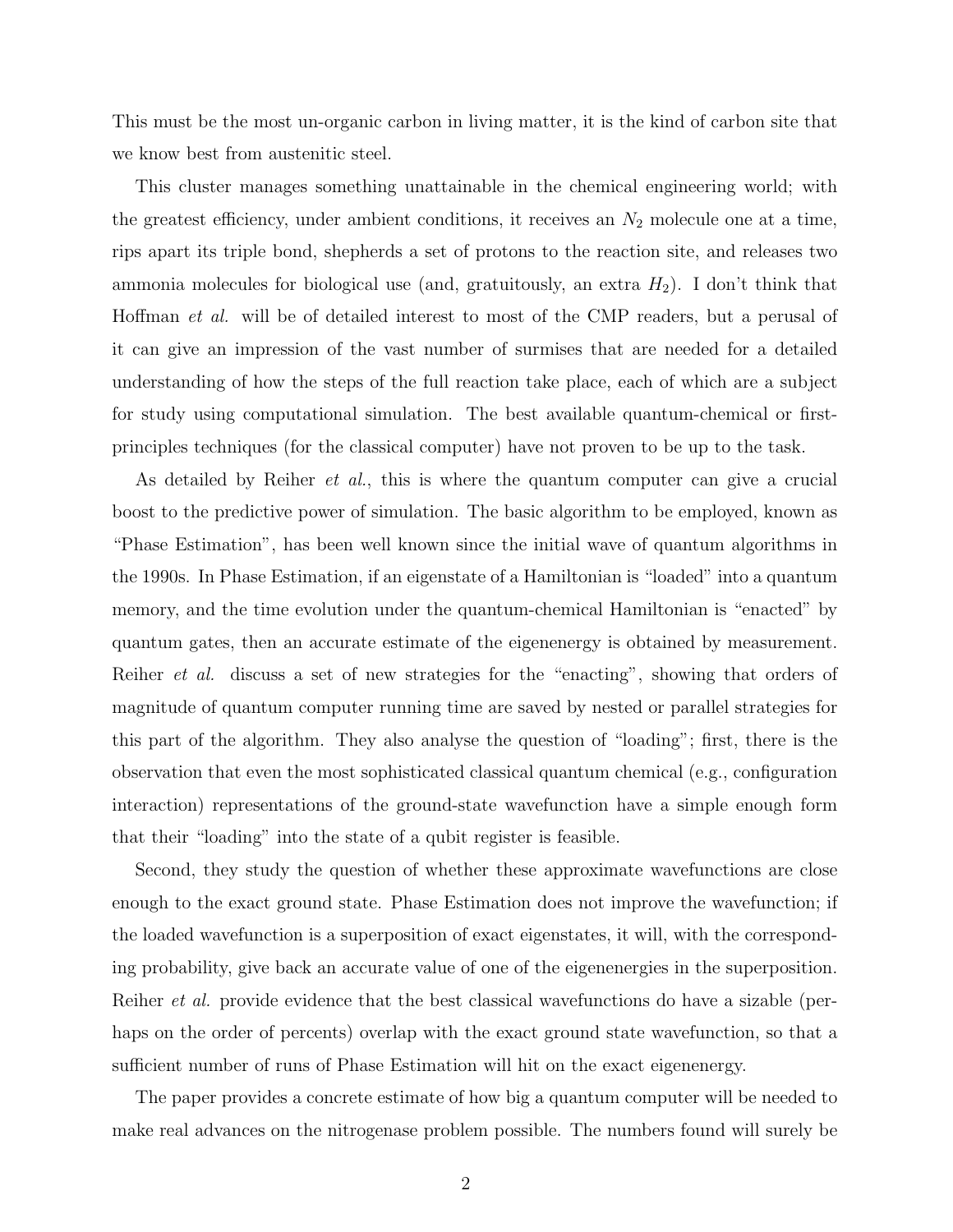This must be the most un-organic carbon in living matter, it is the kind of carbon site that we know best from austenitic steel.

This cluster manages something unattainable in the chemical engineering world; with the greatest efficiency, under ambient conditions, it receives an  $N_2$  molecule one at a time, rips apart its triple bond, shepherds a set of protons to the reaction site, and releases two ammonia molecules for biological use (and, gratuitously, an extra  $H_2$ ). I don't think that Hoffman et al. will be of detailed interest to most of the CMP readers, but a perusal of it can give an impression of the vast number of surmises that are needed for a detailed understanding of how the steps of the full reaction take place, each of which are a subject for study using computational simulation. The best available quantum-chemical or firstprinciples techniques (for the classical computer) have not proven to be up to the task.

As detailed by Reiher et al., this is where the quantum computer can give a crucial boost to the predictive power of simulation. The basic algorithm to be employed, known as "Phase Estimation", has been well known since the initial wave of quantum algorithms in the 1990s. In Phase Estimation, if an eigenstate of a Hamiltonian is "loaded" into a quantum memory, and the time evolution under the quantum-chemical Hamiltonian is "enacted" by quantum gates, then an accurate estimate of the eigenenergy is obtained by measurement. Reiher *et al.* discuss a set of new strategies for the "enacting", showing that orders of magnitude of quantum computer running time are saved by nested or parallel strategies for this part of the algorithm. They also analyse the question of "loading"; first, there is the observation that even the most sophisticated classical quantum chemical (e.g., configuration interaction) representations of the ground-state wavefunction have a simple enough form that their "loading" into the state of a qubit register is feasible.

Second, they study the question of whether these approximate wavefunctions are close enough to the exact ground state. Phase Estimation does not improve the wavefunction; if the loaded wavefunction is a superposition of exact eigenstates, it will, with the corresponding probability, give back an accurate value of one of the eigenenergies in the superposition. Reiher *et al.* provide evidence that the best classical wavefunctions do have a sizable (perhaps on the order of percents) overlap with the exact ground state wavefunction, so that a sufficient number of runs of Phase Estimation will hit on the exact eigenenergy.

The paper provides a concrete estimate of how big a quantum computer will be needed to make real advances on the nitrogenase problem possible. The numbers found will surely be